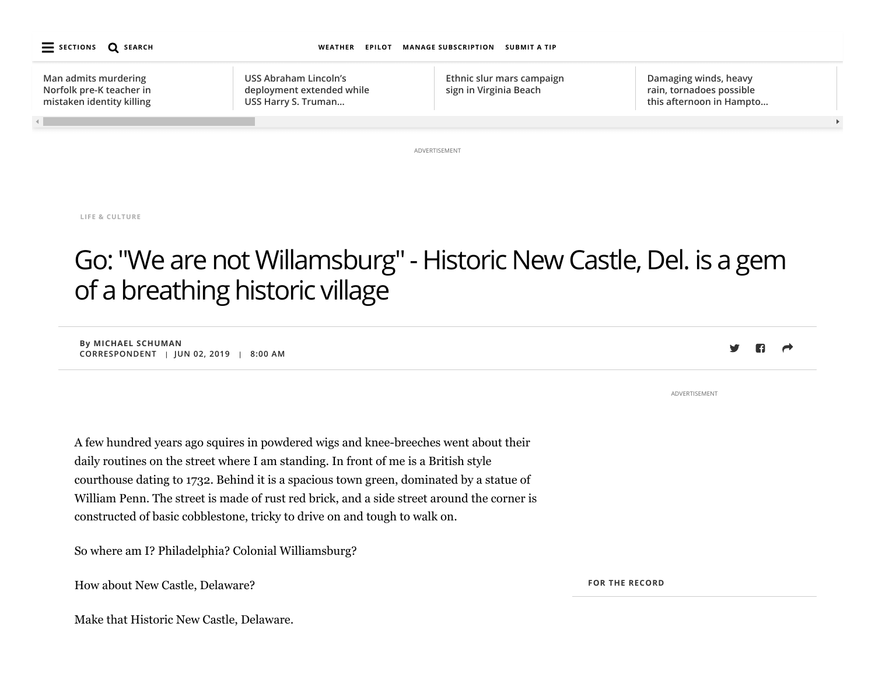

**LIFE & [CULTURE](https://www.pilotonline.com/life/#nt=taxonomy-article)**

# Go: "We are not Willamsburg" - Historic New Castle, Del. is a gem of a breathing historic village

**By MICHAEL SCHUMAN CORRESPONDENT | JUN 02, 2019 | 8:00 AM**

A few hundred years ago squires in powdered wigs and knee-breeches went about their daily routines on the street where I am standing. In front of me is a British style courthouse dating to 1732. Behind it is a spacious town green, dominated by a statue of William Penn. The street is made of rust red brick, and a side street around the corner is constructed of basic cobblestone, tricky to drive on and tough to walk on.

So where am I? Philadelphia? Colonial Williamsburg?

How about New Castle, Delaware?

Make that Historic New Castle, Delaware.

**FOR THE RECORD**

ADVERTISEMENT

n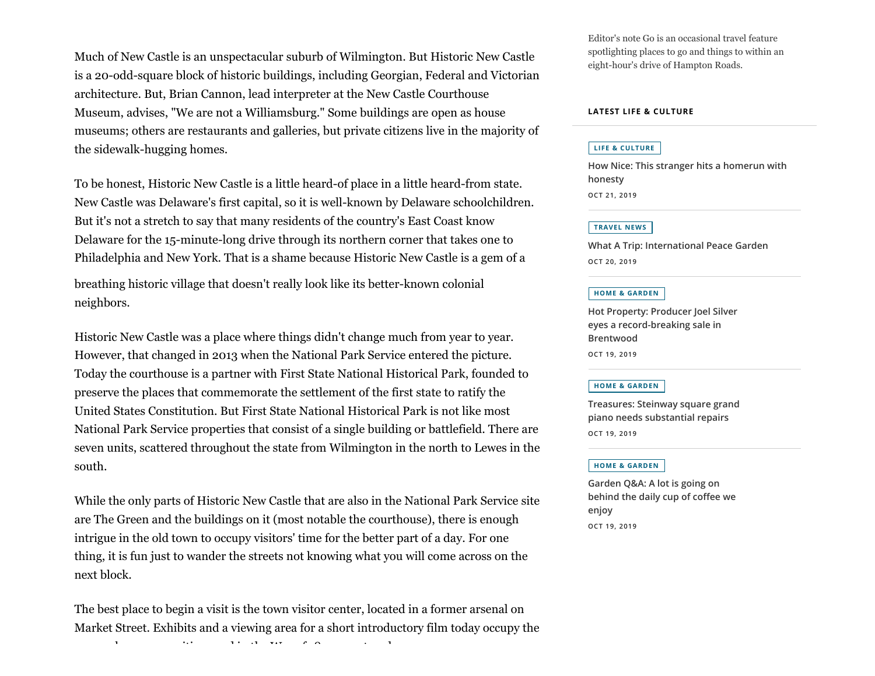Much of New Castle is an unspectacular suburb of Wilmington. But Historic New Castle is a 20-odd-square block of historic buildings, including Georgian, Federal and Victorian architecture. But, Brian Cannon, lead interpreter at the New Castle Courthouse Museum, advises, "We are not a Williamsburg." Some buildings are open as house museums; others are restaurants and galleries, but private citizens live in the majority of the sidewalk-hugging homes.

To be honest, Historic New Castle is a little heard-of place in a little heard-from state. New Castle was Delaware's first capital, so it is well-known by Delaware schoolchildren. But it's not a stretch to say that many residents of the country's East Coast know Delaware for the 15-minute-long drive through its northern corner that takes one to Philadelphia and New York. That is a shame because Historic New Castle is a gem of a

breathing historic village that doesn't really look like its better-known colonial neighbors.

Historic New Castle was a place where things didn't change much from year to year. However, that changed in 2013 when the National Park Service entered the picture. Today the courthouse is a partner with First State National Historical Park, founded to preserve the places that commemorate the settlement of the first state to ratify the United States Constitution. But First State National Historical Park is not like most National Park Service properties that consist of a single building or battlefield. There are seven units, scattered throughout the state from Wilmington in the north to Lewes in the south.

While the only parts of Historic New Castle that are also in the National Park Service site are The Green and the buildings on it (most notable the courthouse), there is enough intrigue in the old town to occupy visitors' time for the better part of a day. For one thing, it is fun just to wander the streets not knowing what you will come across on the next block.

The best place to begin a visit is the town visitor center, located in a former arsenal on Market Street. Exhibits and a viewing area for a short introductory film today occupy the

 $h^{(1)} = h^{(1)} = h^{(1)} = h^{(1)} = h^{(2)} = h^{(3)} = h^{(4)} = h^{(5)} = h^{(6)} = h^{(7)} = h^{(8)} = h^{(9)} = h^{(10)} = h^{(10)} = h^{(11)} = h^{(11)} = h^{(10)} = h^{(11)} = h^{(11)} = h^{(11)} = h^{(11)} = h^{(11)} = h^{(11)} = h^{(11)} = h^{(11)} = h^{(11)} = h^{(11)} = h^{(11)} = h^{(11)} = h^{(11)} = h^{(11)} = h^{(11)} = h^{(11)} = h$ 

Editor's note Go is an occasional travel feature spotlighting places to go and things to within an eight-hour's drive of Hampton Roads.

#### **LATEST LIFE & CULTURE**

#### **LIFE & [CULTURE](https://www.pilotonline.com/life/#nt=taxonomy-article)**

**[How Nice: This stranger hits a homerun with](https://www.pilotonline.com/life/vp-db-hownice-wallet-1021-20191021-oxfgbxpb5zgipbitcdc5jluy2m-story.html#nt=related-content) honesty OCT 21, 2019**

#### **[TRAVEL](https://www.pilotonline.com/life/travel/#nt=taxonomy-article) NEWS**

**[What A Trip: International Peace Garden](https://www.pilotonline.com/life/travel/vp-db-whatatrip-north-dakota-1020-20191020-ce7tjmdlcfgcnntcmjstexbdua-story.html#nt=related-content) OCT 20, 2019**

#### **HOME & [GARDEN](https://www.pilotonline.com/life/home-garden/#nt=taxonomy-article)**

**[Hot Property: Producer Joel Silver](https://www.pilotonline.com/life/home-garden/vp-hl-hot-property-joel-singer-1019-20191019-jin7w2nakrhrzopom33itucpve-story.html#nt=related-content) eyes a record-breaking sale in Brentwood OCT 19, 2019**

#### **HOME & [GARDEN](https://www.pilotonline.com/life/home-garden/#nt=taxonomy-article)**

**[Treasures: Steinway square grand](https://www.pilotonline.com/life/home-garden/vp-hl-treasures-piano-1019-20191019-4473y5zgizbxtp7lcrrw34rrre-story.html#nt=related-content) piano needs substantial repairs OCT 19, 2019**

#### **HOME & [GARDEN](https://www.pilotonline.com/life/home-garden/#nt=taxonomy-article)**

**Garden Q&A: A lot is going on [behind the daily cup of coffee we](https://www.pilotonline.com/life/home-garden/vp-hl-spencer-coffee-1019-20191019-b63irurek5azrcrtrdd2ax76ly-story.html#nt=related-content) enjoy OCT 19, 2019**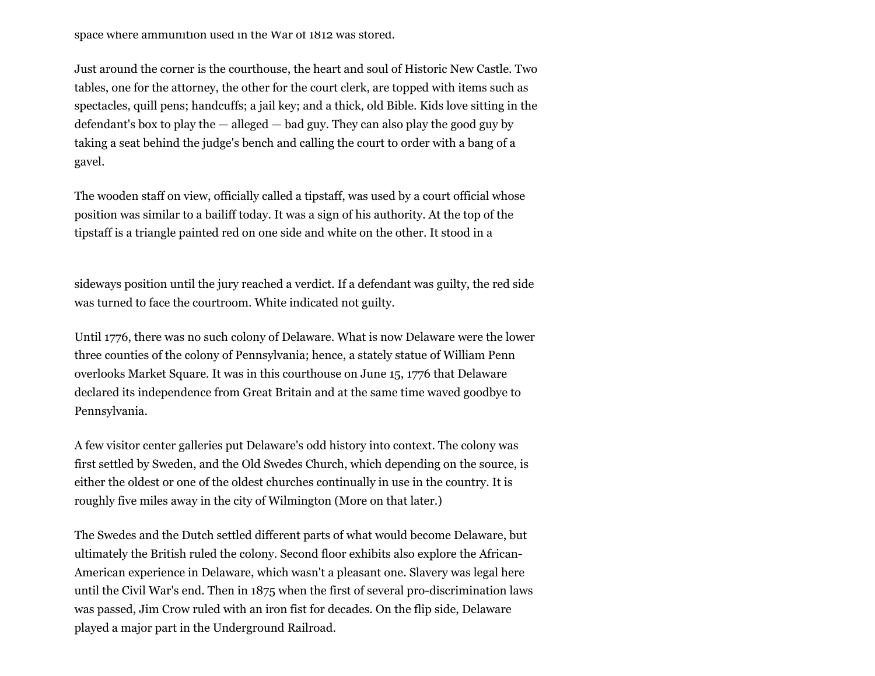space where ammunition used in the War of 1812 was stored.

Just around the corner is the courthouse, the heart and soul of Historic New Castle. Two tables, one for the attorney, the other for the court clerk, are topped with items such as spectacles, quill pens; handcuffs; a jail key; and a thick, old Bible. Kids love sitting in the defendant's box to play the — alleged — bad guy. They can also play the good guy by taking a seat behind the judge's bench and calling the court to order with a bang of a gavel.

The wooden staff on view, officially called a tipstaff, was used by a court official whose position was similar to a bailiff today. It was a sign of his authority. At the top of the tipstaff is a triangle painted red on one side and white on the other. It stood in a

sideways position until the jury reached a verdict. If a defendant was guilty, the red side was turned to face the courtroom. White indicated not guilty.

Until 1776, there was no such colony of Delaware. What is now Delaware were the lower three counties of the colony of Pennsylvania; hence, a stately statue of William Penn overlooks Market Square. It was in this courthouse on June 15, 1776 that Delaware declared its independence from Great Britain and at the same time waved goodbye to Pennsylvania.

A few visitor center galleries put Delaware's odd history into context. The colony was first settled by Sweden, and the Old Swedes Church, which depending on the source, is either the oldest or one of the oldest churches continually in use in the country. It is roughly five miles away in the city of Wilmington (More on that later.)

The Swedes and the Dutch settled different parts of what would become Delaware, but ultimately the British ruled the colony. Second floor exhibits also explore the African-American experience in Delaware, which wasn't a pleasant one. Slavery was legal here until the Civil War's end. Then in 1875 when the first of several pro-discrimination laws was passed, Jim Crow ruled with an iron fist for decades. On the flip side, Delaware played a major part in the Underground Railroad.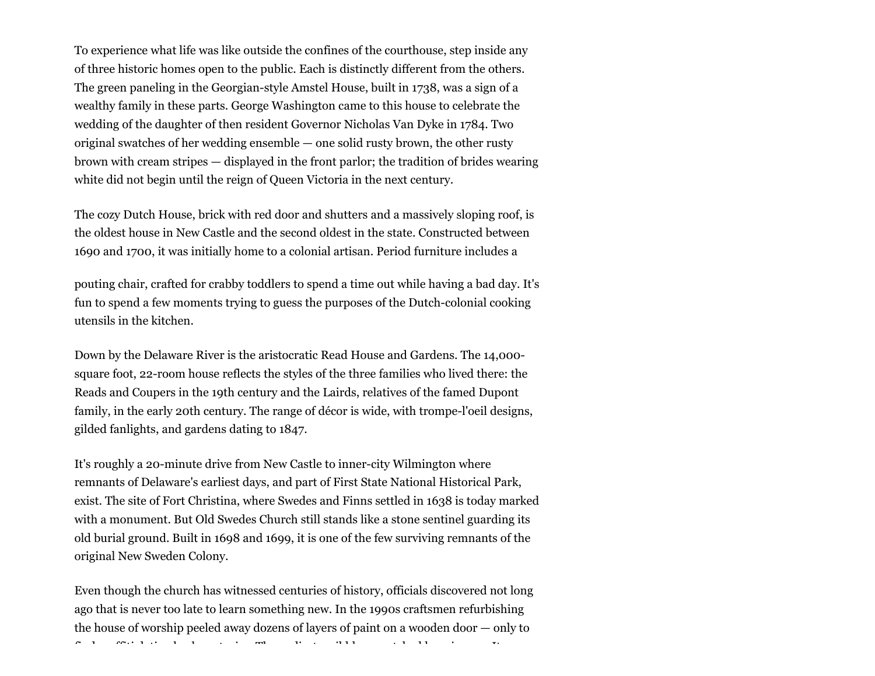To experience what life was like outside the confines of the courthouse, step inside any of three historic homes open to the public. Each is distinctly different from the others. The green paneling in the Georgian-style Amstel House, built in 1738, was a sign of a wealthy family in these parts. George Washington came to this house to celebrate the wedding of the daughter of then resident Governor Nicholas Van Dyke in 1784. Two original swatches of her wedding ensemble — one solid rusty brown, the other rusty brown with cream stripes — displayed in the front parlor; the tradition of brides wearing white did not begin until the reign of Queen Victoria in the next century.

The cozy Dutch House, brick with red door and shutters and a massively sloping roof, is the oldest house in New Castle and the second oldest in the state. Constructed between 1690 and 1700, it was initially home to a colonial artisan. Period furniture includes a

pouting chair, crafted for crabby toddlers to spend a time out while having a bad day. It's fun to spend a few moments trying to guess the purposes of the Dutch-colonial cooking utensils in the kitchen.

Down by the Delaware River is the aristocratic Read House and Gardens. The 14,000 square foot, 22-room house reflects the styles of the three families who lived there: the Reads and Coupers in the 19th century and the Lairds, relatives of the famed Dupont family, in the early 20th century. The range of décor is wide, with trompe-l'oeil designs, gilded fanlights, and gardens dating to 1847.

It's roughly a 20-minute drive from New Castle to inner-city Wilmington where remnants of Delaware's earliest days, and part of First State National Historical Park, exist. The site of Fort Christina, where Swedes and Finns settled in 1638 is today marked with a monument. But Old Swedes Church still stands like a stone sentinel guarding its old burial ground. Built in 1698 and 1699, it is one of the few surviving remnants of the original New Sweden Colony.

Even though the church has witnessed centuries of history, officials discovered not long ago that is never too late to learn something new. In the 1990s craftsmen refurbishing the house of worship peeled away dozens of layers of paint on a wooden door — only to

 $f(x) = f(x) + f(x) + f(x) + f(x) + f(x) + f(x)$  if  $f(x) = f(x) + f(x) + f(x) + f(x) + f(x) + f(x) + f(x)$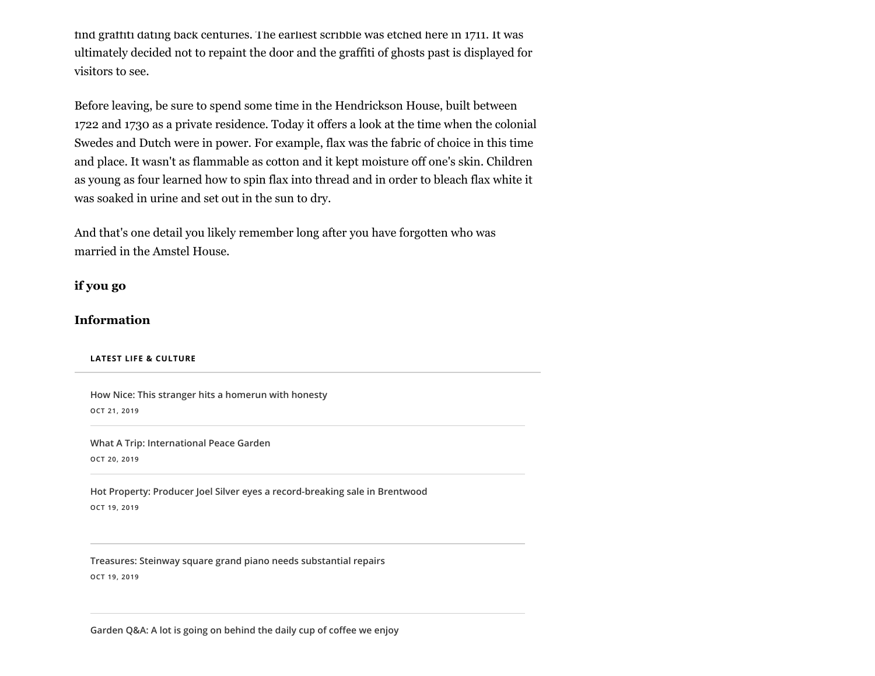find graffiti dating back centuries. The earliest scribble was etched here in 1711. It was ultimately decided not to repaint the door and the graffiti of ghosts past is displayed for visitors to see.

Before leaving, be sure to spend some time in the Hendrickson House, built between 1722 and 1730 as a private residence. Today it offers a look at the time when the colonial Swedes and Dutch were in power. For example, flax was the fabric of choice in this time and place. It wasn't as flammable as cotton and it kept moisture off one's skin. Children as young as four learned how to spin flax into thread and in order to bleach flax white it was soaked in urine and set out in the sun to dry.

And that's one detail you likely remember long after you have forgotten who was married in the Amstel House.

**if you go**

## **Information**

#### **LATEST LIFE & CULTURE**

**[How Nice: This stranger hits a homerun with honesty](https://www.pilotonline.com/life/vp-db-hownice-wallet-1021-20191021-oxfgbxpb5zgipbitcdc5jluy2m-story.html#nt=related-content) OCT 21, 2019**

**[What A Trip: International Peace Garden](https://www.pilotonline.com/life/travel/vp-db-whatatrip-north-dakota-1020-20191020-ce7tjmdlcfgcnntcmjstexbdua-story.html#nt=related-content) OCT 20, 2019**

**[Hot Property: Producer Joel Silver eyes a record-breaking sale in Brentwood](https://www.pilotonline.com/life/home-garden/vp-hl-hot-property-joel-singer-1019-20191019-jin7w2nakrhrzopom33itucpve-story.html#nt=related-content) OCT 19, 2019**

**[Treasures: Steinway square grand piano needs substantial repairs](https://www.pilotonline.com/life/home-garden/vp-hl-treasures-piano-1019-20191019-4473y5zgizbxtp7lcrrw34rrre-story.html#nt=related-content)**

**OCT 19, 2019**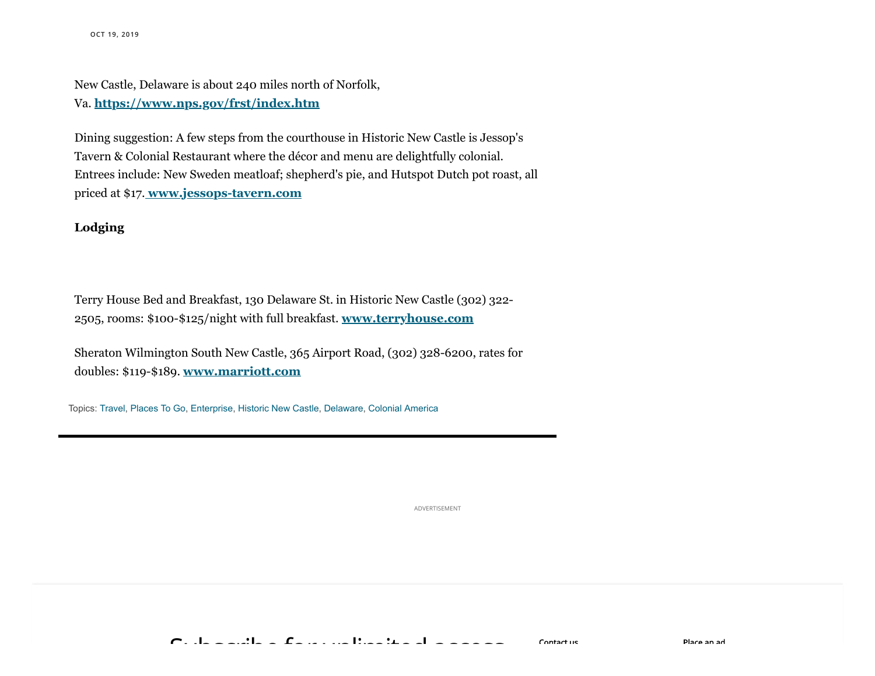New Castle, Delaware is about 240 miles north of Norfolk, Va. **<https://www.nps.gov/frst/index.htm>**

Dining suggestion: A few steps from the courthouse in Historic New Castle is Jessop's Tavern & Colonial Restaurant where the décor and menu are delightfully colonial. Entrees include: New Sweden meatloaf; shepherd's pie, and Hutspot Dutch pot roast, all priced at \$17. **[www.jessops-tavern.com](http://www.jessops-tavern.com/)**

### **Lodging**

Terry House Bed and Breakfast, 130 Delaware St. in Historic New Castle (302) 322- 2505, rooms: \$100-\$125/night with full breakfast. **[www.terryhouse.com](http://www.terryhouse.com/)**

Sheraton Wilmington South New Castle, 365 Airport Road, (302) 328-6200, rates for doubles: \$119-\$189. **[www.marriott.com](https://www.marriott.com/hotels/travel/ilgsw-sheraton-wilmington-south-hotel/)**

Topics: [Travel,](https://www.pilotonline.com/topic/travel-topic.html#nt=taxonomy-article-inbody) [Places To Go,](https://www.pilotonline.com/topic/places-to-go-topic.html#nt=taxonomy-article-inbody) [Enterprise,](https://www.pilotonline.com/topic/enterprise-topic.html#nt=taxonomy-article-inbody) [Historic New Castle,](https://www.pilotonline.com/topic/historic-new-castle-topic.html#nt=taxonomy-article-inbody) [Delaware,](https://www.pilotonline.com/topic/delaware-topic.html#nt=taxonomy-article-inbody) [Colonial America](https://www.pilotonline.com/topic/colonial-america-topic.html#nt=taxonomy-article-inbody)

ADVERTISEMENT